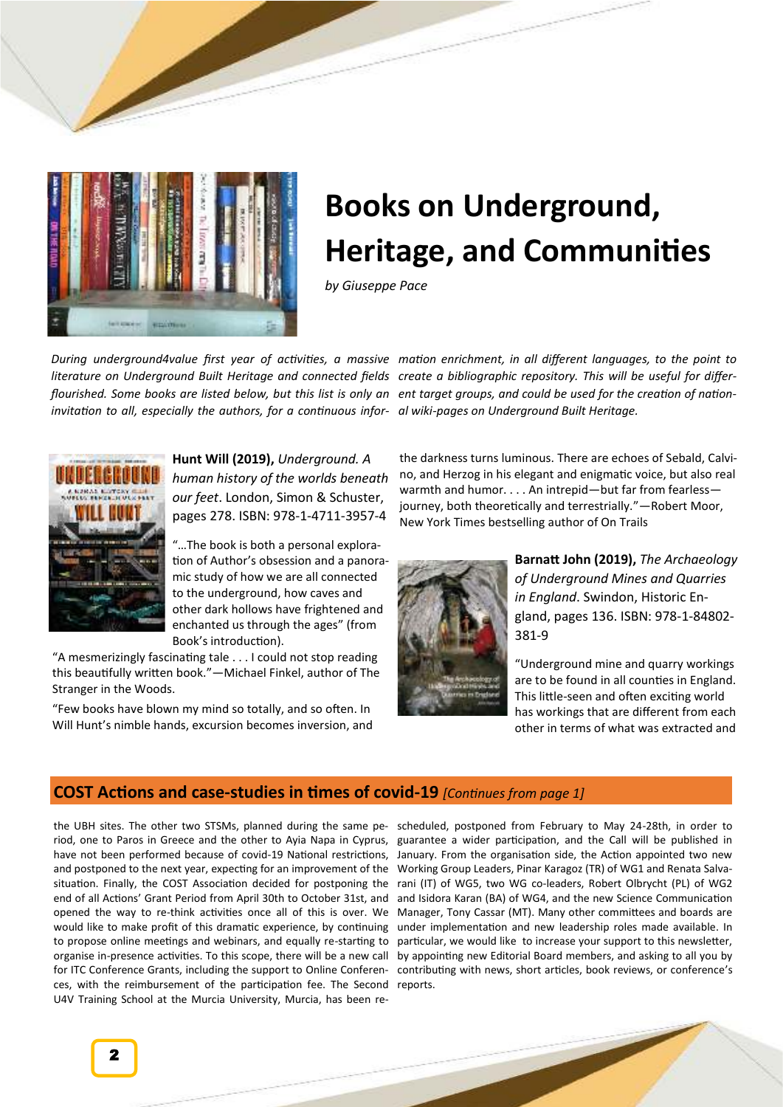

## **Books on Underground, Heritage, and Communities**

*by Giuseppe Pace*

*invitation to all, especially the authors, for a continuous infor-al wiki-pages on Underground Built Heritage.*



**Hunt Will (2019),** *Underground. A human history of the worlds beneath our feet*. London, Simon & Schuster, pages 278. ISBN: 978-1-4711-3957-4

"…The book is both a personal exploration of Author's obsession and a panoramic study of how we are all connected to the underground, how caves and other dark hollows have frightened and enchanted us through the ages" (from Book's introduction).

"A mesmerizingly fascinating tale . . . I could not stop reading this beautifully written book."—Michael Finkel, author of The Stranger in the Woods.

"Few books have blown my mind so totally, and so often. In Will Hunt's nimble hands, excursion becomes inversion, and

During underground4value first year of activities, a massive mation enrichment, in all different languages, to the point to literature on Underground Built Heritage and connected fields create a bibliographic repository. This will be useful for differflourished. Some books are listed below, but this list is only an ent target groups, and could be used for the creation of nation-

> the darkness turns luminous. There are echoes of Sebald, Calvino, and Herzog in his elegant and enigmatic voice, but also real warmth and humor. . . . An intrepid—but far from fearless journey, both theoretically and terrestrially."—Robert Moor, New York Times bestselling author of On Trails



**Barnatt John (2019),** *The Archaeology of Underground Mines and Quarries in England*. Swindon, Historic England, pages 136. ISBN: 978-1-84802- 381-9

"Underground mine and quarry workings are to be found in all counties in England. This little-seen and often exciting world has workings that are different from each other in terms of what was extracted and

## **COST Actions and case-studies in times of covid-19** *[Continues from page 1]*

riod, one to Paros in Greece and the other to Ayia Napa in Cyprus, have not been performed because of covid-19 National restrictions, and postponed to the next year, expecting for an improvement of the situation. Finally, the COST Association decided for postponing the end of all Actions' Grant Period from April 30th to October 31st, and opened the way to re-think activities once all of this is over. We would like to make profit of this dramatic experience, by continuing to propose online meetings and webinars, and equally re-starting to for ITC Conference Grants, including the support to Online Conferences, with the reimbursement of the participation fee. The Second reports. U4V Training School at the Murcia University, Murcia, has been re-

the UBH sites. The other two STSMs, planned during the same pe-scheduled, postponed from February to May 24-28th, in order to organise in-presence activities. To this scope, there will be a new call by appointing new Editorial Board members, and asking to all you by guarantee a wider participation, and the Call will be published in January. From the organisation side, the Action appointed two new Working Group Leaders, Pinar Karagoz (TR) of WG1 and Renata Salvarani (IT) of WG5, two WG co-leaders, Robert Olbrycht (PL) of WG2 and Isidora Karan (BA) of WG4, and the new Science Communication Manager, Tony Cassar (MT). Many other committees and boards are under implementation and new leadership roles made available. In particular, we would like to increase your support to this newsletter, contributing with news, short articles, book reviews, or conference's